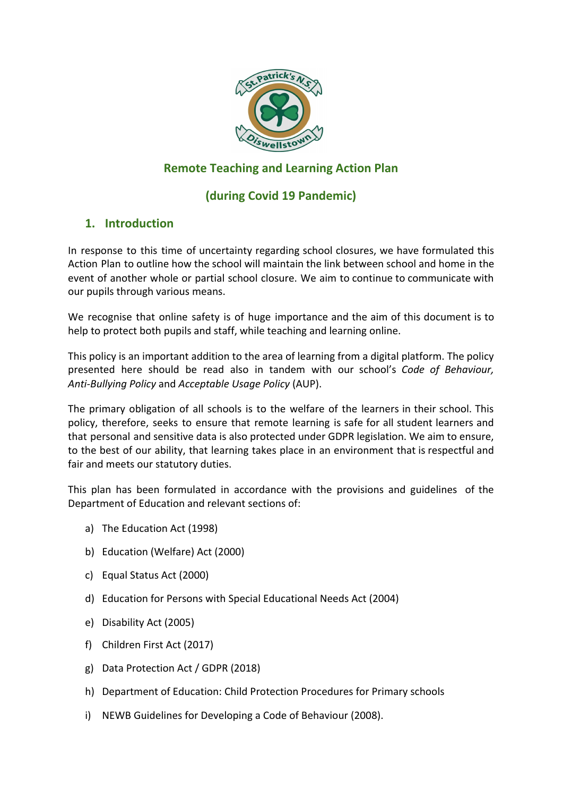

# **Remote Teaching and Learning Action Plan**

# **(during Covid 19 Pandemic)**

## **1. Introduction**

In response to this time of uncertainty regarding school closures, we have formulated this Action Plan to outline how the school will maintain the link between school and home in the event of another whole or partial school closure. We aim to continue to communicate with our pupils through various means.

We recognise that online safety is of huge importance and the aim of this document is to help to protect both pupils and staff, while teaching and learning online.

This policy is an important addition to the area of learning from a digital platform. The policy presented here should be read also in tandem with our school's *Code of Behaviour, Anti-Bullying Policy* and *Acceptable Usage Policy* (AUP).

The primary obligation of all schools is to the welfare of the learners in their school. This policy, therefore, seeks to ensure that remote learning is safe for all student learners and that personal and sensitive data is also protected under GDPR legislation. We aim to ensure, to the best of our ability, that learning takes place in an environment that is respectful and fair and meets our statutory duties.

This plan has been formulated in accordance with the provisions and guidelines of the Department of Education and relevant sections of:

- a) The Education Act (1998)
- b) Education (Welfare) Act (2000)
- c) Equal Status Act (2000)
- d) Education for Persons with Special Educational Needs Act (2004)
- e) Disability Act (2005)
- f) Children First Act (2017)
- g) Data Protection Act / GDPR (2018)
- h) Department of Education: Child Protection Procedures for Primary schools
- i) NEWB Guidelines for Developing a Code of Behaviour (2008).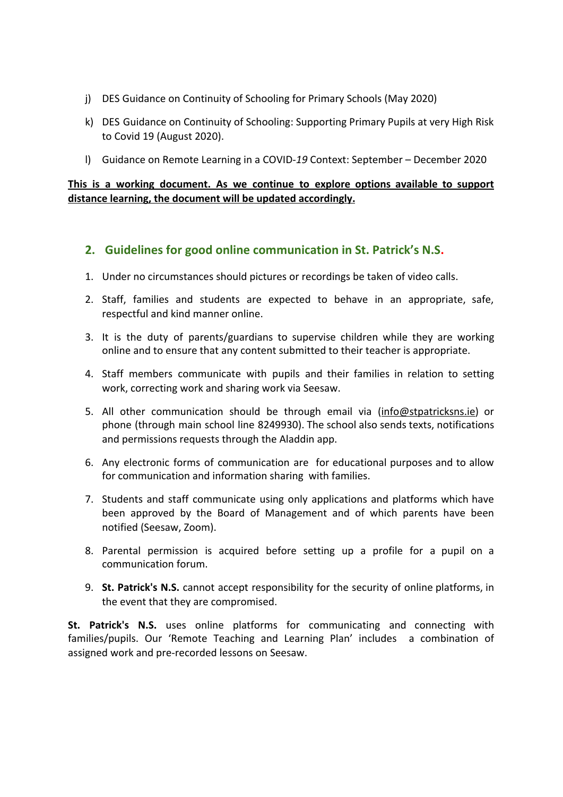- j) DES Guidance on Continuity of Schooling for Primary Schools (May 2020)
- k) DES Guidance on Continuity of Schooling: Supporting Primary Pupils at very High Risk to Covid 19 (August 2020).
- l) Guidance on Remote Learning in a COVID-*19* Context: September December 2020

### **This is a working document. As we continue to explore options available to support distance learning, the document will be updated accordingly.**

### **2. Guidelines for good online communication in St. Patrick's N.S.**

- 1. Under no circumstances should pictures or recordings be taken of video calls.
- 2. Staff, families and students are expected to behave in an appropriate, safe, respectful and kind manner online.
- 3. It is the duty of parents/guardians to supervise children while they are working online and to ensure that any content submitted to their teacher is appropriate.
- 4. Staff members communicate with pupils and their families in relation to setting work, correcting work and sharing work via Seesaw.
- 5. All other communication should be through email via ([info@stpatricksns.ie\)](mailto:info@stpatricksns.ie) or phone (through main school line 8249930). The school also sends texts, notifications and permissions requests through the Aladdin app.
- 6. Any electronic forms of communication are for educational purposes and to allow for communication and information sharing with families.
- 7. Students and staff communicate using only applications and platforms which have been approved by the Board of Management and of which parents have been notified (Seesaw, Zoom).
- 8. Parental permission is acquired before setting up a profile for a pupil on a communication forum.
- 9. **St. Patrick's N.S.** cannot accept responsibility for the security of online platforms, in the event that they are compromised.

**St. Patrick's N.S.** uses online platforms for communicating and connecting with families/pupils. Our 'Remote Teaching and Learning Plan' includes a combination of assigned work and pre-recorded lessons on Seesaw.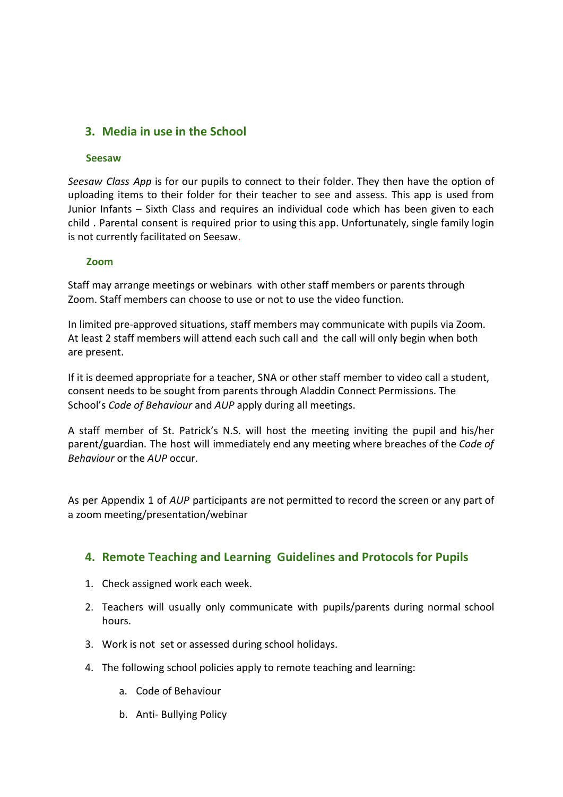## **3. Media in use in the School**

#### **Seesaw**

*Seesaw Class App* is for our pupils to connect to their folder. They then have the option of uploading items to their folder for their teacher to see and assess. This app is used from Junior Infants – Sixth Class and requires an individual code which has been given to each child . Parental consent is required prior to using this app. Unfortunately, single family login is not currently facilitated on Seesaw.

#### **Zoom**

Staff may arrange meetings or webinars with other staff members or parents through Zoom. Staff members can choose to use or not to use the video function.

In limited pre-approved situations, staff members may communicate with pupils via Zoom. At least 2 staff members will attend each such call and the call will only begin when both are present.

If it is deemed appropriate for a teacher, SNA or other staff member to video call a student, consent needs to be sought from parents through Aladdin Connect Permissions. The School's *Code of Behaviour* and *AUP* apply during all meetings.

A staff member of St. Patrick's N.S. will host the meeting inviting the pupil and his/her parent/guardian. The host will immediately end any meeting where breaches of the *Code of Behaviour* or the *AUP* occur.

As per Appendix 1 of *AUP* participants are not permitted to record the screen or any part of a zoom meeting/presentation/webinar

### **4. Remote Teaching and Learning Guidelines and Protocols for Pupils**

- 1. Check assigned work each week.
- 2. Teachers will usually only communicate with pupils/parents during normal school hours.
- 3. Work is not set or assessed during school holidays.
- 4. The following school policies apply to remote teaching and learning:
	- a. Code of Behaviour
	- b. Anti- Bullying Policy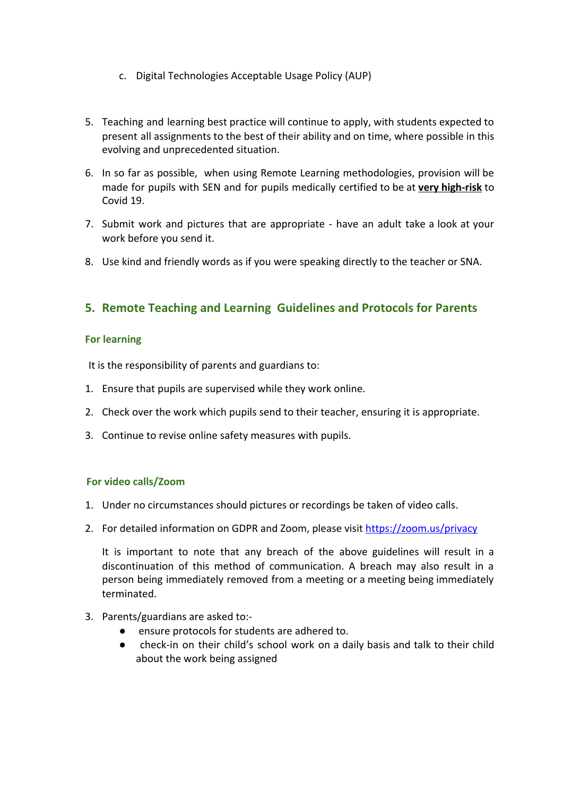- c. Digital Technologies Acceptable Usage Policy (AUP)
- 5. Teaching and learning best practice will continue to apply, with students expected to present all assignments to the best of their ability and on time, where possible in this evolving and unprecedented situation.
- 6. In so far as possible, when using Remote Learning methodologies, provision will be made for pupils with SEN and for pupils medically certified to be at **very high-risk** to Covid 19.
- 7. Submit work and pictures that are appropriate have an adult take a look at your work before you send it.
- 8. Use kind and friendly words as if you were speaking directly to the teacher or SNA.

## **5. Remote Teaching and Learning Guidelines and Protocols for Parents**

#### **For learning**

It is the responsibility of parents and guardians to:

- 1. Ensure that pupils are supervised while they work online.
- 2. Check over the work which pupils send to their teacher, ensuring it is appropriate.
- 3. Continue to revise online safety measures with pupils.

#### **For video calls/Zoom**

- 1. Under no circumstances should pictures or recordings be taken of video calls.
- 2. For detailed information on GDPR and Zoom, please visit <https://zoom.us/privacy>

It is important to note that any breach of the above guidelines will result in a discontinuation of this method of communication. A breach may also result in a person being immediately removed from a meeting or a meeting being immediately terminated.

- 3. Parents/guardians are asked to:-
	- ensure protocols for students are adhered to.
	- check-in on their child's school work on a daily basis and talk to their child about the work being assigned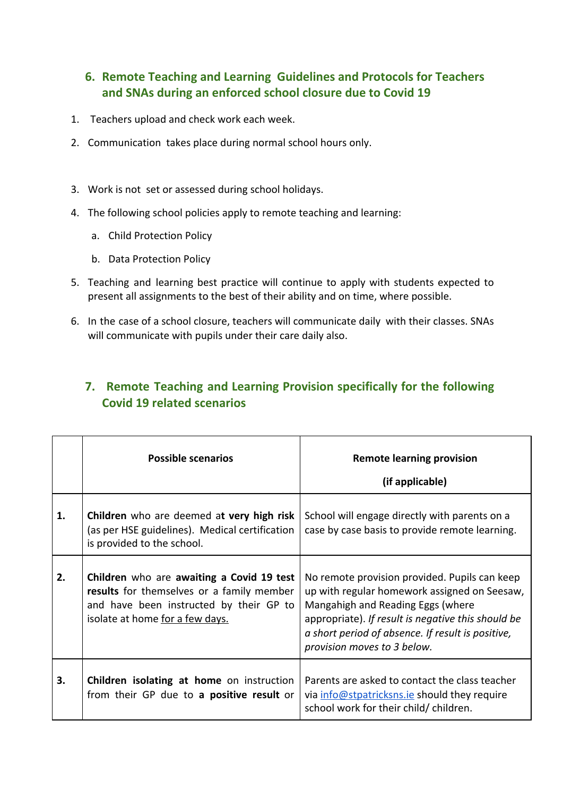# **6. Remote Teaching and Learning Guidelines and Protocols for Teachers and SNAs during an enforced school closure due to Covid 19**

- 1. Teachers upload and check work each week.
- 2. Communication takes place during normal school hours only.
- 3. Work is not set or assessed during school holidays.
- 4. The following school policies apply to remote teaching and learning:
	- a. Child Protection Policy
	- b. Data Protection Policy
- 5. Teaching and learning best practice will continue to apply with students expected to present all assignments to the best of their ability and on time, where possible.
- 6. In the case of a school closure, teachers will communicate daily with their classes. SNAs will communicate with pupils under their care daily also.

# **7. Remote Teaching and Learning Provision specifically for the following Covid 19 related scenarios**

|    | <b>Possible scenarios</b>                                                                                                                                            | <b>Remote learning provision</b><br>(if applicable)                                                                                                                                                                                                                          |
|----|----------------------------------------------------------------------------------------------------------------------------------------------------------------------|------------------------------------------------------------------------------------------------------------------------------------------------------------------------------------------------------------------------------------------------------------------------------|
| 1. | Children who are deemed at very high risk<br>(as per HSE guidelines). Medical certification<br>is provided to the school.                                            | School will engage directly with parents on a<br>case by case basis to provide remote learning.                                                                                                                                                                              |
| 2. | Children who are awaiting a Covid 19 test<br>results for themselves or a family member<br>and have been instructed by their GP to<br>isolate at home for a few days. | No remote provision provided. Pupils can keep<br>up with regular homework assigned on Seesaw,<br>Mangahigh and Reading Eggs (where<br>appropriate). If result is negative this should be<br>a short period of absence. If result is positive,<br>provision moves to 3 below. |
| 3. | Children isolating at home on instruction<br>from their GP due to a positive result or                                                                               | Parents are asked to contact the class teacher<br>via info@stpatricksns.ie should they require<br>school work for their child/children.                                                                                                                                      |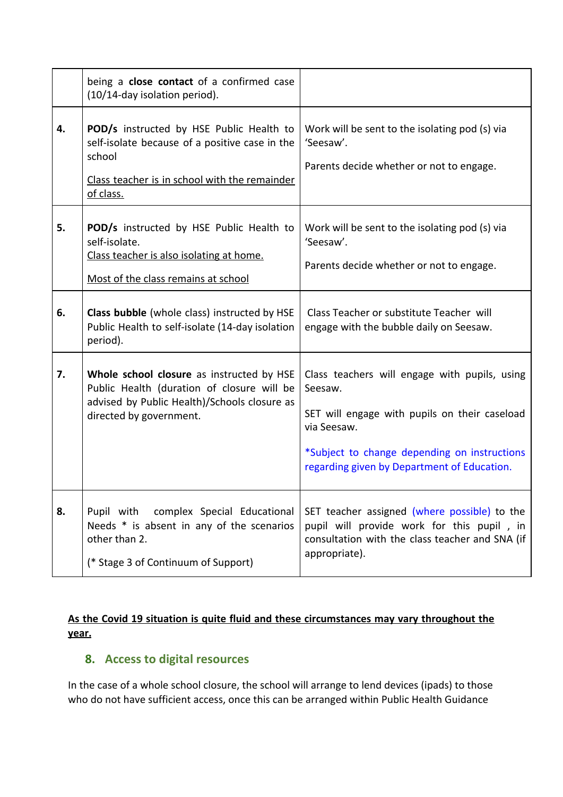|    | being a <b>close contact</b> of a confirmed case<br>(10/14-day isolation period).                                                                                  |                                                                                                                                                                                                                         |
|----|--------------------------------------------------------------------------------------------------------------------------------------------------------------------|-------------------------------------------------------------------------------------------------------------------------------------------------------------------------------------------------------------------------|
| 4. | POD/s instructed by HSE Public Health to<br>self-isolate because of a positive case in the<br>school<br>Class teacher is in school with the remainder<br>of class. | Work will be sent to the isolating pod (s) via<br>'Seesaw'.<br>Parents decide whether or not to engage.                                                                                                                 |
| 5. | POD/s instructed by HSE Public Health to<br>self-isolate.<br>Class teacher is also isolating at home.<br>Most of the class remains at school                       | Work will be sent to the isolating pod (s) via<br>'Seesaw'.<br>Parents decide whether or not to engage.                                                                                                                 |
| 6. | Class bubble (whole class) instructed by HSE<br>Public Health to self-isolate (14-day isolation<br>period).                                                        | Class Teacher or substitute Teacher will<br>engage with the bubble daily on Seesaw.                                                                                                                                     |
| 7. | Whole school closure as instructed by HSE<br>Public Health (duration of closure will be<br>advised by Public Health)/Schools closure as<br>directed by government. | Class teachers will engage with pupils, using<br>Seesaw.<br>SET will engage with pupils on their caseload<br>via Seesaw.<br>*Subject to change depending on instructions<br>regarding given by Department of Education. |
| 8. | Pupil with<br>complex Special Educational<br>Needs * is absent in any of the scenarios<br>other than 2.<br>(* Stage 3 of Continuum of Support)                     | SET teacher assigned (where possible) to the<br>pupil will provide work for this pupil, in<br>consultation with the class teacher and SNA (if<br>appropriate).                                                          |

### **As the Covid 19 situation is quite fluid and these circumstances may vary throughout the year.**

# **8. Access to digital resources**

In the case of a whole school closure, the school will arrange to lend devices (ipads) to those who do not have sufficient access, once this can be arranged within Public Health Guidance